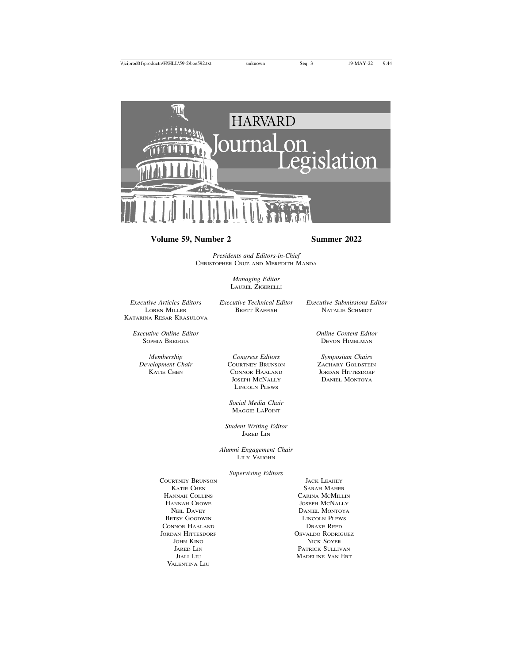

## **Volume 59, Number 2 Summer 2022**

*Presidents and Editors-in-Chief* CHRISTOPHER CRUZ AND MEREDITH MANDA

> *Managing Editor* LAUREL ZIGERELLI

*Executive Articles Editors Executive Technical Editor Executive Submissions Editor* KATARINA RESAR KRASULOVA

NATALIE SCHMIDT

DEVON HIMELMAN

*Executive Online Editor Online Content Editor*

*Membership Congress Editors Symposium Chairs*

*Delopment Chair* COURTNEY BRUNSON **ZACHARY GOLDSTEIN**<br> **EXAMPLE CONSON CONNOR HAALAND** JORDAN HITTESDORF CONNOR HAALAND JORDAN HITTESDORF JOSEPH MCNALLY DANIEL MONTOYA LINCOLN PLEWS

> *Social Media Chair* MAGGIE LAPOINT

*Student Writing Editor* JARED LIN

*Alumni Engagement Chair* LILY VAUGHN

*Supervising Editors*

COURTNEY BRUNSON JACK LEAHEY HANNAH COLLINS CARINA MCMILLIN HANNAH CROWE JOSEPH MCNALLY BETSY GOODWIN LINCOLN PLEWS CONNOR HAALAND DRAKE REED JORDAN HITTESDORF OSVALDO RODRIGUEZ VALENTINA LIU

KATIE CHEN SARAH MAHER NEIL DAVEY DANIEL MONTOYA JOHN KING NICK SOYER JARED LIN PATRICK SULLIVAN JIALI LIU MADELINE VAN ERT